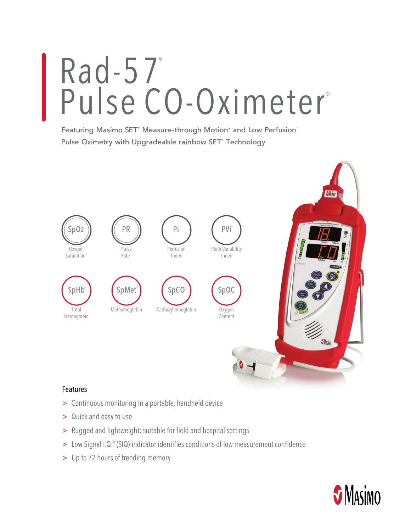# Rad-57® Pulse CO-Oximeter®

**Featuring Masimo SET® Measure-through Motion\* and Low Perfusion™ Pulse Oximetry with Upgradeable rainbow SET® Technology**



## Features

- > Continuous monitoring in a portable, handheld device
- > Quick and easy to use
- > Rugged and lightweight; suitable for field and hospital settings
- > Low Signal I.Q.® (SIQ) indicator identifies conditions of low measurement confidence
- > Up to 72 hours of trending memory